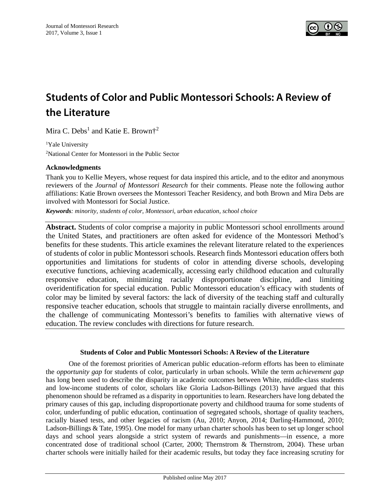

# **Students of Color and Public Montessori Schools: A Review of the Literature**

Mira C. Debs<sup>1</sup> and Katie E. Brown<sup>+2</sup>

<sup>1</sup>Yale University 2 National Center for Montessori in the Public Sector

## **Acknowledgments**

Thank you to Kellie Meyers, whose request for data inspired this article, and to the editor and anonymous reviewers of the *Journal of Montessori Research* for their comments. Please note the following author affiliations: Katie Brown oversees the Montessori Teacher Residency, and both Brown and Mira Debs are involved with Montessori for Social Justice.

*Keywords: minority, students of color, Montessori, urban education, school choice*

**Abstract.** Students of color comprise a majority in public Montessori school enrollments around the United States, and practitioners are often asked for evidence of the Montessori Method's benefits for these students. This article examines the relevant literature related to the experiences of students of color in public Montessori schools. Research finds Montessori education offers both opportunities and limitations for students of color in attending diverse schools, developing executive functions, achieving academically, accessing early childhood education and culturally responsive education, minimizing racially disproportionate discipline, and limiting overidentification for special education. Public Montessori education's efficacy with students of color may be limited by several factors: the lack of diversity of the teaching staff and culturally responsive teacher education, schools that struggle to maintain racially diverse enrollments, and the challenge of communicating Montessori's benefits to families with alternative views of education. The review concludes with directions for future research.

## **Students of Color and Public Montessori Schools: A Review of the Literature**

One of the foremost priorities of American public education–reform efforts has been to eliminate the *opportunity gap* for students of color, particularly in urban schools. While the term *achievement gap* has long been used to describe the disparity in academic outcomes between White, middle-class students and low-income students of color, scholars like Gloria Ladson-Billings (2013) have argued that this phenomenon should be reframed as a disparity in opportunities to learn. Researchers have long debated the primary causes of this gap, including disproportionate poverty and childhood trauma for some students of color, underfunding of public education, continuation of segregated schools, shortage of quality teachers, racially biased tests, and other legacies of racism (Au, 2010; Anyon, 2014; Darling-Hammond, 2010; Ladson-Billings & Tate, 1995). One model for many urban charter schools has been to set up longer school days and school years alongside a strict system of rewards and punishments—in essence, a more concentrated dose of traditional school (Carter, 2000; Thernstrom & Thernstrom, 2004). These urban charter schools were initially hailed for their academic results, but today they face increasing scrutiny for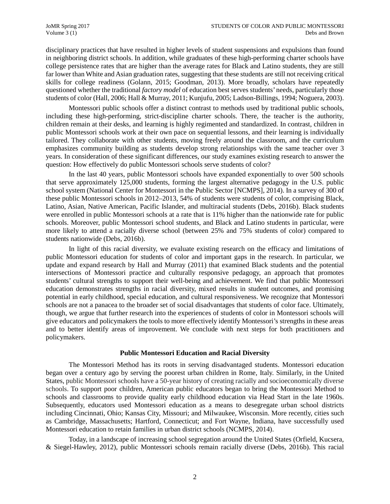disciplinary practices that have resulted in higher levels of student suspensions and expulsions than found in neighboring district schools. In addition, while graduates of these high-performing charter schools have college persistence rates that are higher than the average rates for Black and Latino students, they are still far lower than White and Asian graduation rates, suggesting that these students are still not receiving critical skills for college readiness (Golann, 2015; Goodman, 2013). More broadly, scholars have repeatedly questioned whether the traditional *factory model* of education best serves students' needs, particularly those students of color (Hall, 2006; Hall & Murray, 2011; Kunjufu, 2005; Ladson-Billings, 1994; Noguera, 2003).

Montessori public schools offer a distinct contrast to methods used by traditional public schools, including these high-performing, strict-discipline charter schools. There, the teacher is the authority, children remain at their desks, and learning is highly regimented and standardized. In contrast, children in public Montessori schools work at their own pace on sequential lessons, and their learning is individually tailored. They collaborate with other students, moving freely around the classroom, and the curriculum emphasizes community building as students develop strong relationships with the same teacher over 3 years. In consideration of these significant differences, our study examines existing research to answer the question: How effectively do public Montessori schools serve students of color?

In the last 40 years, public Montessori schools have expanded exponentially to over 500 schools that serve approximately 125,000 students, forming the largest alternative pedagogy in the U.S. public school system (National Center for Montessori in the Public Sector [NCMPS], 2014). In a survey of 300 of these public Montessori schools in 2012–2013, 54% of students were students of color, comprising Black, Latino, Asian, Native American, Pacific Islander, and multiracial students (Debs, 2016b). Black students were enrolled in public Montessori schools at a rate that is 11% higher than the nationwide rate for public schools. Moreover, public Montessori school students, and Black and Latino students in particular, were more likely to attend a racially diverse school (between 25% and 75% students of color) compared to students nationwide (Debs, 2016b).

In light of this racial diversity, we evaluate existing research on the efficacy and limitations of public Montessori education for students of color and important gaps in the research. In particular, we update and expand research by Hall and Murray (2011) that examined Black students and the potential intersections of Montessori practice and culturally responsive pedagogy, an approach that promotes students' cultural strengths to support their well-being and achievement. We find that public Montessori education demonstrates strengths in racial diversity, mixed results in student outcomes, and promising potential in early childhood, special education, and cultural responsiveness. We recognize that Montessori schools are not a panacea to the broader set of social disadvantages that students of color face. Ultimately, though, we argue that further research into the experiences of students of color in Montessori schools will give educators and policymakers the tools to more effectively identify Montessori's strengths in these areas and to better identify areas of improvement. We conclude with next steps for both practitioners and policymakers.

#### **Public Montessori Education and Racial Diversity**

The Montessori Method has its roots in serving disadvantaged students. Montessori education began over a century ago by serving the poorest urban children in Rome, Italy. Similarly, in the United States, public Montessori schools have a 50-year history of creating racially and socioeconomically diverse schools. To support poor children, American public educators began to bring the Montessori Method to schools and classrooms to provide quality early childhood education via Head Start in the late 1960s. Subsequently, educators used Montessori education as a means to desegregate urban school districts including Cincinnati, Ohio; Kansas City, Missouri; and Milwaukee, Wisconsin. More recently, cities such as Cambridge, Massachusetts; Hartford, Connecticut; and Fort Wayne, Indiana, have successfully used Montessori education to retain families in urban district schools (NCMPS, 2014).

Today, in a landscape of increasing school segregation around the United States (Orfield, Kucsera, & Siegel-Hawley, 2012), public Montessori schools remain racially diverse (Debs, 2016b). This racial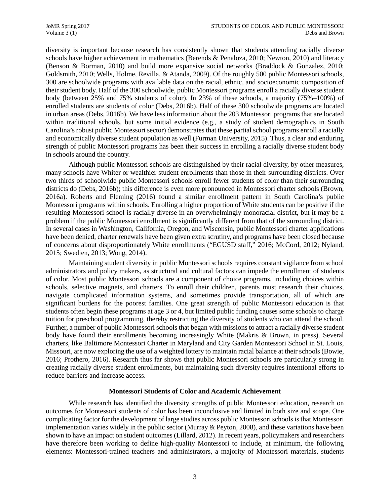diversity is important because research has consistently shown that students attending racially diverse schools have higher achievement in mathematics (Berends & Penaloza, 2010; Newton, 2010) and literacy (Benson & Borman, 2010) and build more expansive social networks (Braddock & Gonzalez, 2010; Goldsmith, 2010; Wells, Holme, Revilla, & Atanda, 2009). Of the roughly 500 public Montessori schools, 300 are schoolwide programs with available data on the racial, ethnic, and socioeconomic composition of their student body. Half of the 300 schoolwide, public Montessori programs enroll a racially diverse student body (between 25% and 75% students of color). In 23% of these schools, a majority (75%–100%) of enrolled students are students of color (Debs, 2016b). Half of these 300 schoolwide programs are located in urban areas (Debs, 2016b). We have less information about the 203 Montessori programs that are located within traditional schools, but some initial evidence (e.g., a study of student demographics in South Carolina's robust public Montessori sector) demonstrates that these partial school programs enroll a racially and economically diverse student population as well (Furman University, 2015). Thus, a clear and enduring strength of public Montessori programs has been their success in enrolling a racially diverse student body in schools around the country.

Although public Montessori schools are distinguished by their racial diversity, by other measures, many schools have Whiter or wealthier student enrollments than those in their surrounding districts. Over two thirds of schoolwide public Montessori schools enroll fewer students of color than their surrounding districts do (Debs, 2016b); this difference is even more pronounced in Montessori charter schools (Brown, 2016a). Roberts and Fleming (2016) found a similar enrollment pattern in South Carolina's public Montessori programs within schools. Enrolling a higher proportion of White students can be positive if the resulting Montessori school is racially diverse in an overwhelmingly monoracial district, but it may be a problem if the public Montessori enrollment is significantly different from that of the surrounding district. In several cases in Washington, California, Oregon, and Wisconsin, public Montessori charter applications have been denied, charter renewals have been given extra scrutiny, and programs have been closed because of concerns about disproportionately White enrollments ("EGUSD staff," 2016; McCord, 2012; Nyland, 2015; Swedien, 2013; Wong, 2014).

Maintaining student diversity in public Montessori schools requires constant vigilance from school administrators and policy makers, as structural and cultural factors can impede the enrollment of students of color. Most public Montessori schools are a component of choice programs, including choices within schools, selective magnets, and charters. To enroll their children, parents must research their choices, navigate complicated information systems, and sometimes provide transportation, all of which are significant burdens for the poorest families. One great strength of public Montessori education is that students often begin these programs at age 3 or 4, but limited public funding causes some schools to charge tuition for preschool programming, thereby restricting the diversity of students who can attend the school. Further, a number of public Montessori schools that began with missions to attract a racially diverse student body have found their enrollments becoming increasingly White (Makris & Brown, in press). Several charters, like Baltimore Montessori Charter in Maryland and City Garden Montessori School in St. Louis, Missouri, are now exploring the use of a weighted lottery to maintain racial balance at their schools (Bowie, 2016; Prothero, 2016). Research thus far shows that public Montessori schools are particularly strong in creating racially diverse student enrollments, but maintaining such diversity requires intentional efforts to reduce barriers and increase access.

#### **Montessori Students of Color and Academic Achievement**

While research has identified the diversity strengths of public Montessori education, research on outcomes for Montessori students of color has been inconclusive and limited in both size and scope. One complicating factor for the development of large studies across public Montessori schools isthat Montessori implementation varies widely in the public sector (Murray & Peyton, 2008), and these variations have been shown to have an impact on student outcomes (Lillard, 2012). In recent years, policymakers and researchers have therefore been working to define high-quality Montessori to include, at minimum, the following elements: Montessori-trained teachers and administrators, a majority of Montessori materials, students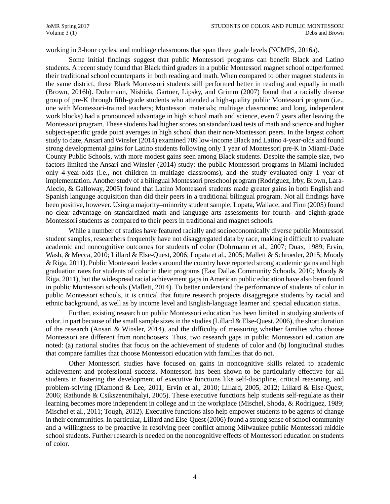working in 3-hour cycles, and multiage classrooms that span three grade levels (NCMPS, 2016a).

Some initial findings suggest that public Montessori programs can benefit Black and Latino students. A recent study found that Black third graders in a public Montessori magnet school outperformed their traditional school counterparts in both reading and math. When compared to other magnet students in the same district, these Black Montessori students still performed better in reading and equally in math (Brown, 2016b). Dohrmann, Nishida, Gartner, Lipsky, and Grimm (2007) found that a racially diverse group of pre-K through fifth-grade students who attended a high-quality public Montessori program (i.e., one with Montessori-trained teachers; Montessori materials; multiage classrooms; and long, independent work blocks) had a pronounced advantage in high school math and science, even 7 years after leaving the Montessori program. These students had higher scores on standardized tests of math and science and higher subject-specific grade point averages in high school than their non-Montessori peers. In the largest cohort study to date, Ansari and Winsler (2014) examined 709 low-income Black and Latino 4-year-olds and found strong developmental gains for Latino students following only 1 year of Montessori pre-K in Miami-Dade County Public Schools, with more modest gains seen among Black students. Despite the sample size, two factors limited the Ansari and Winsler (2014) study: the public Montessori programs in Miami included only 4-year-olds (i.e., not children in multiage classrooms), and the study evaluated only 1 year of implementation. Another study of a bilingual Montessori preschool program (Rodriguez, Irby, Brown, Lara-Alecio, & Galloway, 2005) found that Latino Montessori students made greater gains in both English and Spanish language acquisition than did their peers in a traditional bilingual program. Not all findings have been positive, however. Using a majority–minority student sample, Lopata, Wallace, and Finn (2005) found no clear advantage on standardized math and language arts assessments for fourth- and eighth-grade Montessori students as compared to their peers in traditional and magnet schools.

While a number of studies have featured racially and socioeconomically diverse public Montessori student samples, researchers frequently have not disaggregated data by race, making it difficult to evaluate academic and noncognitive outcomes for students of color (Dohrmann et al., 2007; Duax, 1989; Ervin, Wash, & Mecca, 2010; Lillard & Else-Quest, 2006; Lopata et al., 2005; Mallett & Schroeder, 2015; Moody & Riga, 2011). Public Montessori leaders around the country have reported strong academic gains and high graduation rates for students of color in their programs (East Dallas Community Schools, 2010; Moody & Riga, 2011), but the widespread racial achievement gaps in American public education have also been found in public Montessori schools (Mallett, 2014). To better understand the performance of students of color in public Montessori schools, it is critical that future research projects disaggregate students by racial and ethnic background, as well as by income level and English-language learner and special education status.

Further, existing research on public Montessori education has been limited in studying students of color, in part because of the small sample sizes in the studies (Lillard & Else-Quest, 2006), the short duration of the research (Ansari & Winsler, 2014), and the difficulty of measuring whether families who choose Montessori are different from nonchoosers. Thus, two research gaps in public Montessori education are noted: (a) national studies that focus on the achievement of students of color and (b) longitudinal studies that compare families that choose Montessori education with families that do not.

Other Montessori studies have focused on gains in noncognitive skills related to academic achievement and professional success. Montessori has been shown to be particularly effective for all students in fostering the development of executive functions like self-discipline, critical reasoning, and problem-solving (Diamond & Lee, 2011; Ervin et al., 2010; Lillard, 2005, 2012; Lillard & Else-Quest, 2006; Rathunde & Csikszentmihalyi, 2005). These executive functions help students self-regulate as their learning becomes more independent in college and in the workplace (Mischel, Shoda, & Rodriguez, 1989; Mischel et al., 2011; Tough, 2012). Executive functions also help empower students to be agents of change in their communities. In particular, Lillard and Else-Quest (2006) found a strong sense of school community and a willingness to be proactive in resolving peer conflict among Milwaukee public Montessori middle school students. Further research is needed on the noncognitive effects of Montessori education on students of color.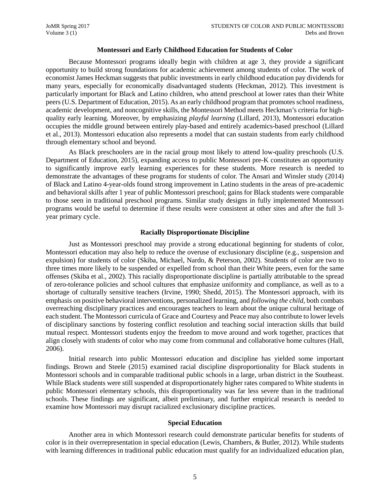## **Montessori and Early Childhood Education for Students of Color**

Because Montessori programs ideally begin with children at age 3, they provide a significant opportunity to build strong foundations for academic achievement among students of color. The work of economist James Heckman suggests that public investments in early childhood education pay dividends for many years, especially for economically disadvantaged students (Heckman, 2012). This investment is particularly important for Black and Latino children, who attend preschool at lower rates than their White peers (U.S. Department of Education, 2015). As an early childhood program that promotes school readiness, academic development, and noncognitive skills, the Montessori Method meets Heckman's criteria for highquality early learning. Moreover, by emphasizing *playful learning* (Lillard, 2013), Montessori education occupies the middle ground between entirely play-based and entirely academics-based preschool (Lillard et al., 2013). Montessori education also represents a model that can sustain students from early childhood through elementary school and beyond.

As Black preschoolers are in the racial group most likely to attend low-quality preschools (U.S. Department of Education, 2015), expanding access to public Montessori pre-K constitutes an opportunity to significantly improve early learning experiences for these students. More research is needed to demonstrate the advantages of these programs for students of color. The Ansari and Winsler study (2014) of Black and Latino 4-year-olds found strong improvement in Latino students in the areas of pre-academic and behavioral skills after 1 year of public Montessori preschool; gains for Black students were comparable to those seen in traditional preschool programs. Similar study designs in fully implemented Montessori programs would be useful to determine if these results were consistent at other sites and after the full 3 year primary cycle.

#### **Racially Disproportionate Discipline**

Just as Montessori preschool may provide a strong educational beginning for students of color, Montessori education may also help to reduce the overuse of exclusionary discipline (e.g., suspension and expulsion) for students of color (Skiba, Michael, Nardo, & Peterson, 2002). Students of color are two to three times more likely to be suspended or expelled from school than their White peers, even for the same offenses (Skiba et al., 2002). This racially disproportionate discipline is partially attributable to the spread of zero-tolerance policies and school cultures that emphasize uniformity and compliance, as well as to a shortage of culturally sensitive teachers (Irvine, 1990; Shedd, 2015). The Montessori approach, with its emphasis on positive behavioral interventions, personalized learning, and *following the child*, both combats overreaching disciplinary practices and encourages teachers to learn about the unique cultural heritage of each student. The Montessori curricula of Grace and Courtesy and Peace may also contribute to lower levels of disciplinary sanctions by fostering conflict resolution and teaching social interaction skills that build mutual respect. Montessori students enjoy the freedom to move around and work together, practices that align closely with students of color who may come from communal and collaborative home cultures (Hall, 2006).

Initial research into public Montessori education and discipline has yielded some important findings. Brown and Steele (2015) examined racial discipline disproportionality for Black students in Montessori schools and in comparable traditional public schools in a large, urban district in the Southeast. While Black students were still suspended at disproportionately higher rates compared to White students in public Montessori elementary schools, this disproportionality was far less severe than in the traditional schools. These findings are significant, albeit preliminary, and further empirical research is needed to examine how Montessori may disrupt racialized exclusionary discipline practices.

#### **Special Education**

Another area in which Montessori research could demonstrate particular benefits for students of color is in their overrepresentation in special education (Lewis, Chambers, & Butler, 2012). While students with learning differences in traditional public education must qualify for an individualized education plan,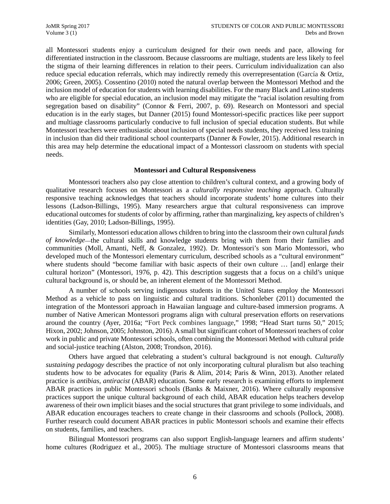all Montessori students enjoy a curriculum designed for their own needs and pace, allowing for differentiated instruction in the classroom. Because classrooms are multiage, students are less likely to feel the stigma of their learning differences in relation to their peers. Curriculum individualization can also reduce special education referrals, which may indirectly remedy this overrepresentation (García & Ortiz, 2006; Green, 2005). Cossentino (2010) noted the natural overlap between the Montessori Method and the inclusion model of education for students with learning disabilities. For the many Black and Latino students who are eligible for special education, an inclusion model may mitigate the "racial isolation resulting from segregation based on disability" (Connor & Ferri, 2007, p. 69). Research on Montessori and special education is in the early stages, but Danner (2015) found Montessori-specific practices like peer support and multiage classrooms particularly conducive to full inclusion of special education students. But while Montessori teachers were enthusiastic about inclusion of special needs students, they received less training in inclusion than did their traditional school counterparts (Danner & Fowler, 2015). Additional research in this area may help determine the educational impact of a Montessori classroom on students with special needs.

#### **Montessori and Cultural Responsiveness**

Montessori teachers also pay close attention to children's cultural context, and a growing body of qualitative research focuses on Montessori as a *culturally responsive teaching* approach. Culturally responsive teaching acknowledges that teachers should incorporate students' home cultures into their lessons (Ladson-Billings, 1995). Many researchers argue that cultural responsiveness can improve educational outcomes for students of color by affirming, rather than marginalizing, key aspects of children's identities (Gay, 2010; Ladson-Billings, 1995).

Similarly, Montessori education allows children to bring into the classroom their own cultural *funds of knowledge*—the cultural skills and knowledge students bring with them from their families and communities (Moll, Amanti, Neff, & Gonzalez, 1992). Dr. Montessori's son Mario Montessori, who developed much of the Montessori elementary curriculum, described schools as a "cultural environment" where students should "become familiar with basic aspects of their own culture ... [and] enlarge their cultural horizon" (Montessori, 1976, p. 42). This description suggests that a focus on a child's unique cultural background is, or should be, an inherent element of the Montessori Method.

A number of schools serving indigenous students in the United States employ the Montessori Method as a vehicle to pass on linguistic and cultural traditions. Schonleber (2011) documented the integration of the Montessori approach in Hawaiian language and culture-based immersion programs. A number of Native American Montessori programs align with cultural preservation efforts on reservations around the country (Ayer, 2016a; "Fort Peck combines language," 1998; "Head Start turns 50*,*" 2015; Hixon, 2002; Johnson, 2005; Johnston, 2016). A small but significant cohort of Montessori teachers of color work in public and private Montessori schools, often combining the Montessori Method with cultural pride and social-justice teaching (Alston, 2008; Trondson, 2016).

Others have argued that celebrating a student's cultural background is not enough. *Culturally sustaining pedagogy* describes the practice of not only incorporating cultural pluralism but also teaching students how to be advocates for equality (Paris & Alim, 2014; Paris & Winn, 2013). Another related practice is *antibias, antiracist* (ABAR) education. Some early research is examining efforts to implement ABAR practices in public Montessori schools (Banks & Maixner, 2016). Where culturally responsive practices support the unique cultural background of each child, ABAR education helps teachers develop awareness of their own implicit biases and the social structures that grant privilege to some individuals, and ABAR education encourages teachers to create change in their classrooms and schools (Pollock, 2008). Further research could document ABAR practices in public Montessori schools and examine their effects on students, families, and teachers.

Bilingual Montessori programs can also support English-language learners and affirm students' home cultures (Rodriguez et al., 2005). The multiage structure of Montessori classrooms means that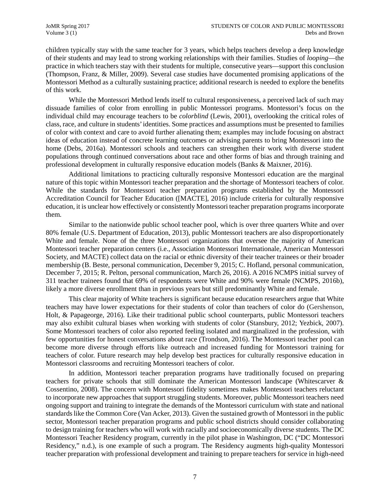children typically stay with the same teacher for 3 years, which helps teachers develop a deep knowledge of their students and may lead to strong working relationships with their families. Studies of *looping*—the practice in which teachers stay with their students for multiple, consecutive years—support this conclusion (Thompson, Franz, & Miller, 2009). Several case studies have documented promising applications of the Montessori Method as a culturally sustaining practice; additional research is needed to explore the benefits of this work.

While the Montessori Method lends itself to cultural responsiveness, a perceived lack of such may dissuade families of color from enrolling in public Montessori programs. Montessori's focus on the individual child may encourage teachers to be *colorblind* (Lewis, 2001), overlooking the critical roles of class, race, and culture in students' identities. Some practices and assumptions must be presented to families of color with context and care to avoid further alienating them; examples may include focusing on abstract ideas of education instead of concrete learning outcomes or advising parents to bring Montessori into the home (Debs, 2016a). Montessori schools and teachers can strengthen their work with diverse student populations through continued conversations about race and other forms of bias and through training and professional development in culturally responsive education models (Banks & Maixner, 2016).

Additional limitations to practicing culturally responsive Montessori education are the marginal nature of this topic within Montessori teacher preparation and the shortage of Montessori teachers of color. While the standards for Montessori teacher preparation programs established by the Montessori Accreditation Council for Teacher Education ([MACTE], 2016) include criteria for culturally responsive education, it is unclear how effectively or consistently Montessori teacher preparation programs incorporate them.

Similar to the nationwide public school teacher pool, which is over three quarters White and over 80% female (U.S. Department of Education, 2013), public Montessori teachers are also disproportionately White and female. None of the three Montessori organizations that oversee the majority of American Montessori teacher preparation centers (i.e., Association Montessori Internationale, American Montessori Society, and MACTE) collect data on the racial or ethnic diversity of their teacher trainees or their broader membership (B. Beste, personal communication, December 9, 2015; C. Hofland, personal communication, December 7, 2015; R. Pelton, personal communication, March 26, 2016). A 2016 NCMPS initial survey of 311 teacher trainees found that 69% of respondents were White and 90% were female (NCMPS, 2016b), likely a more diverse enrollment than in previous years but still predominantly White and female.

This clear majority of White teachers is significant because education researchers argue that White teachers may have lower expectations for their students of color than teachers of color do (Gershenson, Holt, & Papageorge, 2016). Like their traditional public school counterparts, public Montessori teachers may also exhibit cultural biases when working with students of color (Stansbury, 2012; Yezbick, 2007). Some Montessori teachers of color also reported feeling isolated and marginalized in the profession, with few opportunities for honest conversations about race (Trondson, 2016). The Montessori teacher pool can become more diverse through efforts like outreach and increased funding for Montessori training for teachers of color. Future research may help develop best practices for culturally responsive education in Montessori classrooms and recruiting Montessori teachers of color.

In addition, Montessori teacher preparation programs have traditionally focused on preparing teachers for private schools that still dominate the American Montessori landscape (Whitescarver & Cossentino, 2008). The concern with Montessori fidelity sometimes makes Montessori teachers reluctant to incorporate new approaches that support struggling students. Moreover, public Montessori teachers need ongoing support and training to integrate the demands of the Montessori curriculum with state and national standards like the Common Core (Van Acker, 2013). Given the sustained growth of Montessori in the public sector, Montessori teacher preparation programs and public school districts should consider collaborating to design training for teachers who will work with racially and socioeconomically diverse students. The DC Montessori Teacher Residency program, currently in the pilot phase in Washington, DC ("DC Montessori Residency," n.d.), is one example of such a program. The Residency augments high-quality Montessori teacher preparation with professional development and training to prepare teachers for service in high-need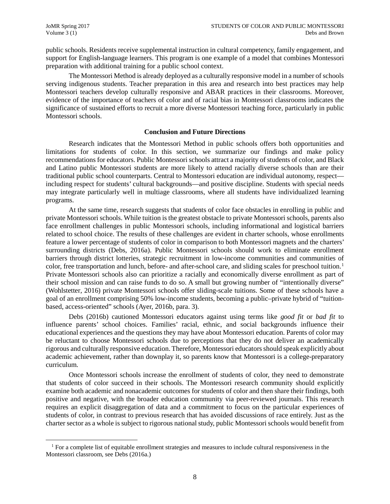public schools. Residents receive supplemental instruction in cultural competency, family engagement, and support for English-language learners. This program is one example of a model that combines Montessori preparation with additional training for a public school context.

The Montessori Method is already deployed as a culturally responsive model in a number of schools serving indigenous students. Teacher preparation in this area and research into best practices may help Montessori teachers develop culturally responsive and ABAR practices in their classrooms. Moreover, evidence of the importance of teachers of color and of racial bias in Montessori classrooms indicates the significance of sustained efforts to recruit a more diverse Montessori teaching force, particularly in public Montessori schools.

#### **Conclusion and Future Directions**

Research indicates that the Montessori Method in public schools offers both opportunities and limitations for students of color. In this section, we summarize our findings and make policy recommendations for educators. Public Montessori schools attract a majority of students of color, and Black and Latino public Montessori students are more likely to attend racially diverse schools than are their traditional public school counterparts. Central to Montessori education are individual autonomy, respect including respect for students' cultural backgrounds—and positive discipline. Students with special needs may integrate particularly well in multiage classrooms, where all students have individualized learning programs.

At the same time, research suggests that students of color face obstacles in enrolling in public and private Montessori schools. While tuition is the greatest obstacle to private Montessori schools, parents also face enrollment challenges in public Montessori schools, including informational and logistical barriers related to school choice. The results of these challenges are evident in charter schools, whose enrollments feature a lower percentage of students of color in comparison to both Montessori magnets and the charters' surrounding districts (Debs, 2016a). Public Montessori schools should work to eliminate enrollment barriers through district lotteries, strategic recruitment in low-income communities and communities of color, free transportation and lunch, before- and after-school care, and sliding scales for preschool tuition.<sup>[1](#page-7-0)</sup> Private Montessori schools also can prioritize a racially and economically diverse enrollment as part of their school mission and can raise funds to do so. A small but growing number of "intentionally diverse" (Wohlstetter, 2016) private Montessori schools offer sliding-scale tuitions. Some of these schools have a goal of an enrollment comprising 50% low-income students, becoming a public–private hybrid of "tuitionbased, access-oriented" schools (Ayer, 2016b, para. 3).

Debs (2016b) cautioned Montessori educators against using terms like *good fit* or *bad fit* to influence parents' school choices. Families' racial, ethnic, and social backgrounds influence their educational experiences and the questions they may have about Montessori education. Parents of color may be reluctant to choose Montessori schools due to perceptions that they do not deliver an academically rigorous and culturally responsive education. Therefore, Montessori educators should speak explicitly about academic achievement, rather than downplay it, so parents know that Montessori is a college-preparatory curriculum.

Once Montessori schools increase the enrollment of students of color, they need to demonstrate that students of color succeed in their schools. The Montessori research community should explicitly examine both academic and nonacademic outcomes for students of color and then share their findings, both positive and negative, with the broader education community via peer-reviewed journals. This research requires an explicit disaggregation of data and a commitment to focus on the particular experiences of students of color, in contrast to previous research that has avoided discussions of race entirely. Just as the charter sector as a whole is subject to rigorous national study, public Montessori schools would benefit from

<span id="page-7-0"></span> $1$  For a complete list of equitable enrollment strategies and measures to include cultural responsiveness in the Montessori classroom, see Debs (2016a.)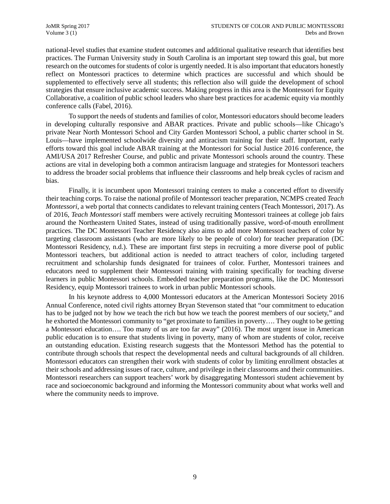national-level studies that examine student outcomes and additional qualitative research that identifies best practices. The Furman University study in South Carolina is an important step toward this goal, but more research on the outcomes for students of color is urgently needed. It is also important that educators honestly reflect on Montessori practices to determine which practices are successful and which should be supplemented to effectively serve all students; this reflection also will guide the development of school strategies that ensure inclusive academic success. Making progress in this area is the Montessori for Equity Collaborative, a coalition of public school leaders who share best practices for academic equity via monthly conference calls (Fabel, 2016).

To support the needs of students and families of color, Montessori educators should become leaders in developing culturally responsive and ABAR practices. Private and public schools—like Chicago's private Near North Montessori School and City Garden Montessori School, a public charter school in St. Louis—have implemented schoolwide diversity and antiracism training for their staff. Important, early efforts toward this goal include ABAR training at the Montessori for Social Justice 2016 conference, the AMI/USA 2017 Refresher Course, and public and private Montessori schools around the country. These actions are vital in developing both a common antiracism language and strategies for Montessori teachers to address the broader social problems that influence their classrooms and help break cycles of racism and bias.

Finally, it is incumbent upon Montessori training centers to make a concerted effort to diversify their teaching corps. To raise the national profile of Montessori teacher preparation, NCMPS created *Teach Montessori*, a web portal that connects candidates to relevant training centers (Teach Montessori, 2017). As of 2016, *Teach Montessori* staff members were actively recruiting Montessori trainees at college job fairs around the Northeastern United States, instead of using traditionally passive, word-of-mouth enrollment practices. The DC Montessori Teacher Residency also aims to add more Montessori teachers of color by targeting classroom assistants (who are more likely to be people of color) for teacher preparation (DC Montessori Residency, n.d.). These are important first steps in recruiting a more diverse pool of public Montessori teachers, but additional action is needed to attract teachers of color, including targeted recruitment and scholarship funds designated for trainees of color. Further, Montessori trainees and educators need to supplement their Montessori training with training specifically for teaching diverse learners in public Montessori schools. Embedded teacher preparation programs, like the DC Montessori Residency, equip Montessori trainees to work in urban public Montessori schools.

In his keynote address to 4,000 Montessori educators at the American Montessori Society 2016 Annual Conference, noted civil rights attorney Bryan Stevenson stated that "our commitment to education has to be judged not by how we teach the rich but how we teach the poorest members of our society," and he exhorted the Montessori community to "get proximate to families in poverty…. They ought to be getting a Montessori education…. Too many of us are too far away" (2016). The most urgent issue in American public education is to ensure that students living in poverty, many of whom are students of color, receive an outstanding education. Existing research suggests that the Montessori Method has the potential to contribute through schools that respect the developmental needs and cultural backgrounds of all children. Montessori educators can strengthen their work with students of color by limiting enrollment obstacles at their schools and addressing issues of race, culture, and privilege in their classrooms and their communities. Montessori researchers can support teachers' work by disaggregating Montessori student achievement by race and socioeconomic background and informing the Montessori community about what works well and where the community needs to improve.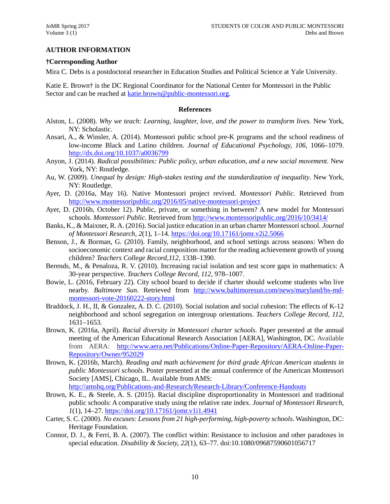#### **AUTHOR INFORMATION**

#### **†Corresponding Author**

Mira C. Debs is a postdoctoral researcher in Education Studies and Political Science at Yale University.

Katie E. Brown† is the DC Regional Coordinator for the National Center for Montessori in the Public Sector and can be reached at [katie.brown@public-montessori.org.](mailto:katie.brown@public-montessori.org)

#### **References**

- Alston, L. (2008). *Why we teach: Learning, laughter, love, and the power to transform lives.* New York, NY: Scholastic.
- Ansari, A., & Winsler, A. (2014). Montessori public school pre-K programs and the school readiness of low-income Black and Latino children. *Journal of Educational Psychology, 106,* 1066–1079. <http://dx.doi.org/10.1037/a0036799>
- Anyon, J. (2014). *Radical possibilities: Public policy, urban education, and a new social movement.* New York, NY: Routledge.
- Au, W. (2009). *Unequal by design: High-stakes testing and the standardization of inequality*. New York, NY: Routledge.
- Ayer, D. (2016a, May 16). Native Montessori project revived. *Montessori Public.* Retrieved fro[m](http://www.montessoripublic.org/2016/05/native-montessori-project/) <http://www.montessoripublic.org/2016/05/native-montessori-project>
- Ayer, D. (2016b, October 12). Public, private, or something in between? A new model for Montessori schools. *Montessori Public.* Retrieved fro[m http://www.montessoripublic.org/2016/10/3414/](http://www.montessoripublic.org/2016/10/3414/)
- Banks, K., & Maixner, R. A. (2016). Social justice education in an urban charter Montessori school. *Journal of Montessori Research, 2*(1), 1–14.<https://doi.org/10.17161/jomr.v2i2.5066>
- Benson, J., & Borman, G. (2010). Family, neighborhood, and school settings across seasons: When do socioeconomic context and racial composition matter for the reading achievement growth of young children? *Teachers College Record,112,* 1338–1390.
- Berends, M., & Penaloza, R. V. (2010). Increasing racial isolation and test score gaps in mathematics: A 30-year perspective. *Teachers College Record, 112,* 978–1007.
- Bowie, L. (2016, February 22). City school board to decide if charter should welcome students who live nearby. *Baltimore Sun.* Retrieved from [http://www.baltimoresun.com/news/maryland/bs-md](http://www.baltimoresun.com/news/maryland/bs-md-montessori-vote-20160222-story.html)[montessori-vote-20160222-story.html](http://www.baltimoresun.com/news/maryland/bs-md-montessori-vote-20160222-story.html)
- Braddock, J. H., II, & Gonzalez, A. D. C. (2010). Social isolation and social cohesion: The effects of K-12 neighborhood and school segregation on intergroup orientations. *Teachers College Record, 112,* 1631–1653.
- Brown, K. (2016a, April). *Racial diversity in Montessori charter schools.* Paper presented at the annual meeting of the American Educational Research Association [AERA], Washington, DC. Available from AERA: [http://www.aera.net/Publications/Online-Paper-Repository/AERA-Online-Paper-](http://www.aera.net/Publications/Online-Paper-Repository/AERA-Online-Paper-Repository/Owner/952029)[Repository/Owner/952029](http://www.aera.net/Publications/Online-Paper-Repository/AERA-Online-Paper-Repository/Owner/952029)
- Brown, K. (2016b, March). *Reading and math achievement for third grade African American students in public Montessori schools*. Poster presented at the annual conference of the American Montessori Society [AMS], Chicago, IL. Available from AMS:

<http://amshq.org/Publications-and-Research/Research-Library/Conference-Handouts>

- Brown, K. E., & Steele, A. S. (2015). Racial discipline disproportionality in Montessori and traditional public schools: A comparative study using the relative rate index. *Journal of Montessori Research, 1*(1), 14–27.<https://doi.org/10.17161/jomr.v1i1.4941>
- Carter, S. C. (2000). *No excuses: Lessons from 21 high-performing, high-poverty schools*. Washington, DC: Heritage Foundation.
- Connor, D. J., & Ferri, B. A. (2007). The conflict within: Resistance to inclusion and other paradoxes in special education. *Disability & Society, 22*(1), 63–77. doi:10.1080/09687590601056717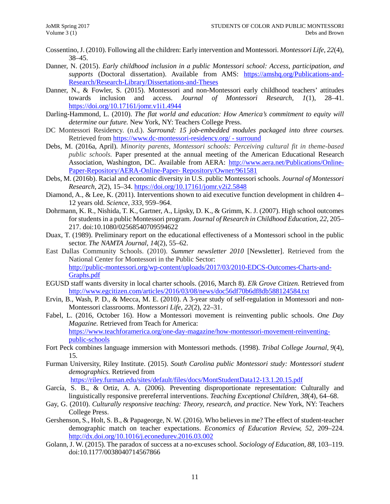- Cossentino, J. (2010). Following all the children: Early intervention and Montessori. *Montessori Life, 22*(4), 38–45.
- Danner, N. (2015). *Early childhood inclusion in a public Montessori school: Access, participation, and supports* (Doctoral dissertation). Available from AMS: [https://amshq.org/Publications-and-](https://amshq.org/Publications-and-Research/Research-Library/Dissertations-and-Theses)[Research/Research-Library/Dissertations-and-Theses](https://amshq.org/Publications-and-Research/Research-Library/Dissertations-and-Theses)
- Danner, N., & Fowler, S. (2015). Montessori and non-Montessori early childhood teachers' attitudes towards inclusion and access. *Journal of Montessori Research, 1*(1), 28–41. <https://doi.org/10.17161/jomr.v1i1.4944>
- Darling-Hammond, L. (2010). *The flat world and education: How America's commitment to equity will determine our future.* New York, NY: Teachers College Press.
- DC Montessori Residency. (n.d.). *Surround: 15 job-embedded modules packaged into three courses.* Retrieved fro[m https://www.dc-montessori-residency.org/ -](https://www.dc-montessori-residency.org/#surround) surround
- Debs, M. (2016a, April). *Minority parents, Montessori schools: Perceiving cultural fit in theme-based public schools.* Paper presented at the annual meeting of the American Educational Research Association, Washington, DC. Available from AERA: [http://www.aera.net/Publications/Online-](http://www.aera.net/Publications/Online-Paper-Repository/AERA-Online-Paper-%20Repository/Owner/961581)[Paper-Repository/AERA-Online-Paper-](http://www.aera.net/Publications/Online-Paper-Repository/AERA-Online-Paper-%20Repository/Owner/961581) Repository/Owner/961581
- Debs, M. (2016b). Racial and economic diversity in U.S. public Montessori schools. *Journal of Montessori Research, 2*(2), 15–34.<https://doi.org/10.17161/jomr.v2i2.5848>
- Diamond, A., & Lee, K. (2011). Interventions shown to aid executive function development in children 4– 12 years old. *Science, 333,* 959–964.
- Dohrmann, K. R., Nishida, T. K., Gartner, A., Lipsky, D. K., & Grimm, K. J. (2007). High school outcomes for students in a public Montessori program. *Journal of Research in Childhood Education, 22,* 205– 217. doi:10.1080/02568540709594622
- Duax, T. (1989). Preliminary report on the educational effectiveness of a Montessori school in the public sector. *The NAMTA Journal, 14*(2), 55–62.
- East Dallas Community Schools. (2010). *Summer newsletter 2010* [Newsletter]. Retrieved from the National Center for Montessori in the Public Sector: [http://public-montessori.org/wp-content/uploads/2017/03/2010-EDCS-Outcomes-Charts-and-](http://public-montessori.org/wp-content/uploads/2017/03/2010-EDCS-Outcomes-Charts-and-Graphs.pdf)[Graphs.pdf](http://public-montessori.org/wp-content/uploads/2017/03/2010-EDCS-Outcomes-Charts-and-Graphs.pdf)
- EGUSD staff wants diversity in local charter schools. (2016, March 8). *Elk Grove Citizen.* Retrieved from <http://www.egcitizen.com/articles/2016/03/08/news/doc56df70b6df8db588124584.txt>
- Ervin, B., Wash, P. D., & Mecca, M. E. (2010). A 3-year study of self-regulation in Montessori and non-Montessori classrooms. *Montessori Life, 22*(2), 22–31.
- Fabel, L. (2016, October 16). How a Montessori movement is reinventing public schools. *One Day Magazine.* Retrieved from Teach for America: [https://www.teachforamerica.org/one-day-magazine/how-montessori-movement-reinventing](https://www.teachforamerica.org/one-day-magazine/how-montessori-movement-reinventing-public-schools)[public-schools](https://www.teachforamerica.org/one-day-magazine/how-montessori-movement-reinventing-public-schools)
- Fort Peck combines language immersion with Montessori methods. (1998). *Tribal College Journal, 9*(4), 15.
- Furman University, Riley Institute. (2015). *South Carolina public Montessori study: Montessori student demographics.* Retrieved from <https://riley.furman.edu/sites/default/files/docs/MontStudentData12-13.1.20.15.pdf>
- García, S. B., & Ortiz, A. A. (2006). Preventing disproportionate representation: Culturally and linguistically responsive prereferral interventions. *Teaching Exceptional Children, 38*(4), 64–68.
- Gay, G. (2010). *Culturally responsive teaching: Theory, research, and practice*. New York, NY: Teachers College Press.
- Gershenson, S., Holt, S. B., & Papageorge, N. W. (2016). Who believes in me? The effect of student-teacher demographic match on teacher expectations. *Economics of Education Review, 52,* 209–224. <http://dx.doi.org/10.1016/j.econedurev.2016.03.002>
- Golann, J. W. (2015). The paradox of success at a no-excuses school. *Sociology of Education, 88,* 103–119. doi:10.1177/0038040714567866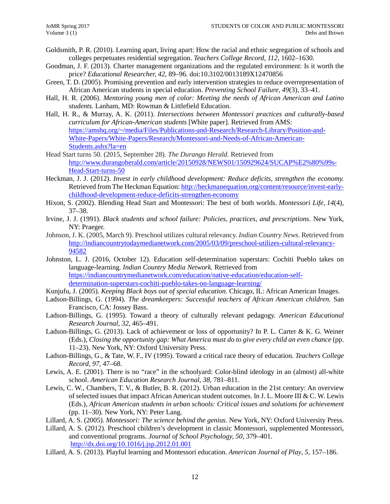- Goldsmith, P. R. (2010). Learning apart, living apart: How the racial and ethnic segregation of schools and colleges perpetuates residential segregation. *Teachers College Record, 112,* 1602–1630.
- Goodman, J. F. (2013). Charter management organizations and the regulated environment: Is it worth the price? *Educational Researcher, 42,* 89–96. doi:10.3102/0013189X12470856
- Green, T. D. (2005). Promising prevention and early intervention strategies to reduce overrepresentation of African American students in special education. *Preventing School Failure, 49*(3), 33–41.
- Hall, H. R. (2006). *Mentoring young men of color: Meeting the needs of African American and Latino students.* Lanham, MD: Rowman & Littlefield Education.
- Hall, H. R., & Murray, A. K. (2011). *Intersections between Montessori practices and culturally-based curriculum for African-American students* [White paper]. Retrieved from AMS: [https://amshq.org/~/media/Files/Publications-and-Research/Research-Library/Position-and-](https://amshq.org/%7E/media/Files/Publications-and-Research/Research-Library/Position-and-White-Papers/White-Papers/Research/Montessori-and-Needs-of-African-American-Students.ashx?la=en)[White-Papers/White-Papers/Research/Montessori-and-Needs-of-African-American-](https://amshq.org/%7E/media/Files/Publications-and-Research/Research-Library/Position-and-White-Papers/White-Papers/Research/Montessori-and-Needs-of-African-American-Students.ashx?la=en)[Students.ashx?la=en](https://amshq.org/%7E/media/Files/Publications-and-Research/Research-Library/Position-and-White-Papers/White-Papers/Research/Montessori-and-Needs-of-African-American-Students.ashx?la=en)
- Head Start turns 50. (2015, September 28). *The Durango Herald.* Retrieved from [http://www.durangoherald.com/article/20150928/NEWS01/150929624/SUCAP%E2%80%99s-](http://www.durangoherald.com/article/20150928/NEWS01/150929624/SUCAP%E2%80%99s-Head-Start-turns-50)[Head-Start-turns-50](http://www.durangoherald.com/article/20150928/NEWS01/150929624/SUCAP%E2%80%99s-Head-Start-turns-50)
- Heckman, J. J. (2012). *Invest in early childhood development: Reduce deficits, strengthen the economy.*  Retrieved from The Heckman Equation[: http://heckmanequation.org/content/resource/invest-early](http://heckmanequation.org/content/resource/invest-early-childhood-development-reduce-deficits-strengthen-economy)[childhood-development-reduce-deficits-strengthen-economy](http://heckmanequation.org/content/resource/invest-early-childhood-development-reduce-deficits-strengthen-economy)
- Hixon, S. (2002). Blending Head Start and Montessori: The best of both worlds. *Montessori Life, 14*(4), 37–38.
- Irvine, J. J. (1991). *Black students and school failure: Policies, practices, and prescriptions*. New York, NY: Praeger.
- Johnson, J. K. (2005, March 9). Preschool utilizes cultural relevancy. *Indian Country News*. Retrieved from [http://indiancountrytodaymedianetwork.com/2005/03/09/preschool-utilizes-cultural-relevancy-](http://indiancountrytodaymedianetwork.com/2005/03/09/preschool-utilizes-cultural-relevancy-94582)[94582](http://indiancountrytodaymedianetwork.com/2005/03/09/preschool-utilizes-cultural-relevancy-94582)
- Johnston, L. J. (2016, October 12). Education self-determination superstars: Cochiti Pueblo takes on language-learning. *Indian Country Media Network.* Retrieved from [https://indiancountrymedianetwork.com/education/native-education/education-self](https://indiancountrymedianetwork.com/education/native-education/education-self-determination-superstars-cochiti-pueblo-takes-on-language-learning/)[determination-superstars-cochiti-pueblo-takes-on-language-learning/](https://indiancountrymedianetwork.com/education/native-education/education-self-determination-superstars-cochiti-pueblo-takes-on-language-learning/)
- Kunjufu, J. (2005). *Keeping Black boys out of special education.* Chicago, IL: African American Images.
- Ladson-Billings, G. (1994). *The dreamkeepers: Successful teachers of African American children.* San Francisco, CA: Jossey Bass.
- Ladson-Billings, G. (1995). Toward a theory of culturally relevant pedagogy. *American Educational Research Journal, 32,* 465–491.
- Ladson-Billings, G. (2013). Lack of achievement or loss of opportunity? In P. L. Carter & K. G. Weiner (Eds.), *Closing the opportunity gap: What America must do to give every child an even chance* (pp. 11–23). New York, NY: Oxford University Press.
- Ladson-Billings, G., & Tate, W. F., IV (1995). Toward a critical race theory of education. *Teachers College Record, 97,* 47–68.
- Lewis, A. E. (2001). There is no "race" in the schoolyard: Color-blind ideology in an (almost) all-white school. *American Education Research Journal, 38,* 781–811.
- Lewis, C. W., Chambers, T. V., & Butler, B. R. (2012). Urban education in the 21st century: An overview of selected issues that impact African American student outcomes. In J. L. Moore III & C. W. Lewis (Eds.), *African American students in urban schools: Critical issues and solutions for achievement*  (pp. 11–30)*.* New York, NY: Peter Lang.
- Lillard, A. S. (2005). *Montessori: The science behind the genius.* New York, NY: Oxford University Press.
- Lillard, A. S. (2012). Preschool children's development in classic Montessori, supplemented Montessori, and conventional programs. *Journal of School Psychology, 50,* 379–401. <http://dx.doi.org/10.1016/j.jsp.2012.01.001>
- Lillard, A. S. (2013). Playful learning and Montessori education. *American Journal of Play*, *5,* 157–186.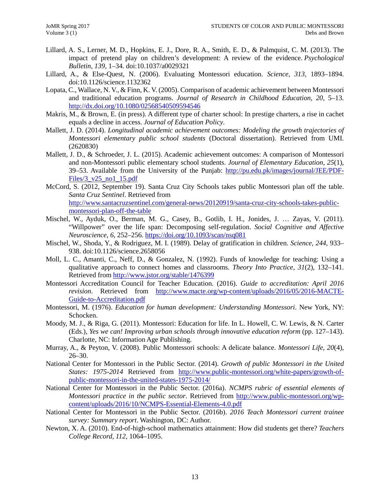- Lillard, A. S., Lerner, M. D., Hopkins, E. J., Dore, R. A., Smith, E. D., & Palmquist, C. M. (2013). The impact of pretend play on children's development: A review of the evidence. *Psychological Bulletin, 139,* 1–34. doi:10.1037/a0029321
- Lillard, A., & Else-Quest, N. (2006). Evaluating Montessori education. *Science, 313,* 1893–1894. doi:10.1126/science.1132362
- Lopata, C., Wallace, N. V., & Finn, K. V. (2005). Comparison of academic achievement between Montessori and traditional education programs. *Journal of Research in Childhood Education, 20,* 5–13. <http://dx.doi.org/10.1080/02568540509594546>
- Makris, M., & Brown, E. (in press). A different type of charter school: In prestige charters, a rise in cachet equals a decline in access. *Journal of Education Policy*.
- Mallett, J. D. (2014). *Longitudinal academic achievement outcomes: Modeling the growth trajectories of Montessori elementary public school students* (Doctoral dissertation). Retrieved from UMI. (2620830)
- Mallett, J. D., & Schroeder, J. L. (2015). Academic achievement outcomes: A comparison of Montessori and non-Montessori public elementary school students. *Journal of Elementary Education, 25*(1), 39–53. Available from the University of the Punjab: [http://pu.edu.pk/images/journal/JEE/PDF-](http://pu.edu.pk/images/journal/JEE/PDF-Files/3_v25_no1_15.pdf)[Files/3\\_v25\\_no1\\_15.pdf](http://pu.edu.pk/images/journal/JEE/PDF-Files/3_v25_no1_15.pdf)
- McCord, S. (2012, September 19). Santa Cruz City Schools takes public Montessori plan off the table. *Santa Cruz Sentinel*. Retrieved from [http://www.santacruzsentinel.com/general-news/20120919/santa-cruz-city-schools-takes-public](http://www.santacruzsentinel.com/general-news/20120919/santa-cruz-city-schools-takes-public-montessori-plan-off-the-table)[montessori-plan-off-the-table](http://www.santacruzsentinel.com/general-news/20120919/santa-cruz-city-schools-takes-public-montessori-plan-off-the-table)
- Mischel, W., Ayduk, O., Berman, M. G., Casey, B., Gotlib, I. H., Jonides, J. … Zayas, V. (2011). "Willpower" over the life span: Decomposing self-regulation. *Social Cognitive and Affective Neuroscience, 6,* 252–256.<https://doi.org/10.1093/scan/nsq081>
- Mischel, W., Shoda, Y., & Rodriguez, M. I. (1989). Delay of gratification in children. *Science, 244,* 933– 938. doi:10.1126/science.2658056
- Moll, L. C., Amanti, C., Neff, D., & Gonzalez, N. (1992). Funds of knowledge for teaching: Using a qualitative approach to connect homes and classrooms. *Theory Into Practice, 31*(2), 132–141. Retrieved from <http://www.jstor.org/stable/1476399>
- Montessori Accreditation Council for Teacher Education. (2016). *Guide to accreditation: April 2016 revision*. Retrieved from [http://www.macte.org/wp-content/uploads/2016/05/2016-MACTE-](http://www.macte.org/wp-content/uploads/2016/05/2016-MACTE-Guide-to-Accreditation.pdf)[Guide-to-Accreditation.pdf](http://www.macte.org/wp-content/uploads/2016/05/2016-MACTE-Guide-to-Accreditation.pdf)
- Montessori, M. (1976). *Education for human development: Understanding Montessori*. New York, NY: Schocken.
- Moody, M. J., & Riga, G. (2011). Montessori: Education for life. In L. Howell, C. W. Lewis, & N. Carter (Eds.), *Yes we can! Improving urban schools through innovative education reform* (pp. 127–143). Charlotte, NC: Information Age Publishing.
- Murray, A., & Peyton, V. (2008). Public Montessori schools: A delicate balance. *Montessori Life, 20*(4), 26–30.
- National Center for Montessori in the Public Sector. (2014). *Growth of public Montessori in the United States: 1975-2014* Retrieved from [http://www.public-montessori.org/white-papers/growth-of](http://www.public-montessori.org/white-papers/growth-of-public-montessori-in-the-united-states-1975-2014/)[public-montessori-in-the-united-states-1975-2014/](http://www.public-montessori.org/white-papers/growth-of-public-montessori-in-the-united-states-1975-2014/)
- National Center for Montessori in the Public Sector. (2016a). *NCMPS rubric of essential elements of Montessori practice in the public sector*. Retrieved from [http://www.public-montessori.org/wp](http://www.public-montessori.org/wp-content/uploads/2016/10/NCMPS-Essential-Elements-4.0.pdf)[content/uploads/2016/10/NCMPS-Essential-Elements-4.0.pdf](http://www.public-montessori.org/wp-content/uploads/2016/10/NCMPS-Essential-Elements-4.0.pdf)
- National Center for Montessori in the Public Sector. (2016b). *2016 Teach Montessori current trainee survey: Summary report*. Washington, DC: Author.
- Newton, X. A. (2010). End-of-high-school mathematics attainment: How did students get there? *Teachers College Record, 112,* 1064–1095.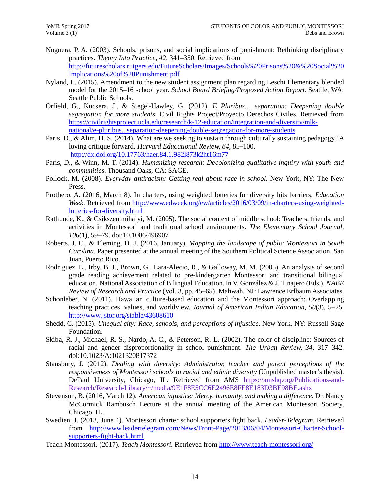- Noguera, P. A. (2003). Schools, prisons, and social implications of punishment: Rethinking disciplinary practices. *Theory Into Practice, 42,* 341–350. Retrieved from [http://futurescholars.rutgers.edu/FutureScholars/Images/Schools%20Prisons%20&%20Social%20](http://futurescholars.rutgers.edu/FutureScholars/Images/Schools%20Prisons%20&%20Social%20Implications%20of%20Punishment.pdf) [Implications%20of%20Punishment.pdf](http://futurescholars.rutgers.edu/FutureScholars/Images/Schools%20Prisons%20&%20Social%20Implications%20of%20Punishment.pdf)
- Nyland, L. (2015). Amendment to the new student assignment plan regarding Leschi Elementary blended model for the 2015–16 school year. *School Board Briefing/Proposed Action Report.* Seattle, WA: Seattle Public Schools.
- Orfield, G., Kucsera, J., & Siegel-Hawley, G. (2012). *E Pluribus… separation: Deepening double segregation for more students.* Civil Rights Project/Proyecto Derechos Civiles. Retrieved from [https://civilrightsproject.ucla.edu/research/k-12-education/integration-and-diversity/mlk](https://civilrightsproject.ucla.edu/research/k-12-education/integration-and-diversity/mlk-national/e-pluribus...separation-deepening-double-segregation-for-more-students)[national/e-pluribus...separation-deepening-double-segregation-for-more-students](https://civilrightsproject.ucla.edu/research/k-12-education/integration-and-diversity/mlk-national/e-pluribus...separation-deepening-double-segregation-for-more-students)
- Paris, D., & Alim, H. S. (2014). What are we seeking to sustain through culturally sustaining pedagogy? A loving critique forward. *Harvard Educational Review, 84,* 85–100. <http://dx.doi.org/10.17763/haer.84.1.982l873k2ht16m77>
- Paris, D., & Winn, M. T. (2014). *Humanizing research: Decolonizing qualitative inquiry with youth and communities*. Thousand Oaks, CA: SAGE.
- Pollock, M. (2008). *Everyday antiracism: Getting real about race in school.* New York, NY: The New Press.
- Prothero, A. (2016, March 8). In charters, using weighted lotteries for diversity hits barriers. *Education Week*. Retrieved from [http://www.edweek.org/ew/articles/2016/03/09/in-charters-using-weighted](http://www.edweek.org/ew/articles/2016/03/09/in-charters-using-weighted-lotteries-for-diversity.html)[lotteries-for-diversity.html](http://www.edweek.org/ew/articles/2016/03/09/in-charters-using-weighted-lotteries-for-diversity.html)
- Rathunde, K., & Csikszentmihalyi, M. (2005). The social context of middle school: Teachers, friends, and activities in Montessori and traditional school environments. *The Elementary School Journal, 106*(1), 59–79. doi:10.1086/496907
- Roberts, J. C., & Fleming, D. J. (2016, January). *Mapping the landscape of public Montessori in South Carolina.* Paper presented at the annual meeting of the Southern Political Science Association, San Juan, Puerto Rico.
- Rodriguez, L., Irby, B. J., Brown, G., Lara-Alecio, R., & Galloway, M. M. (2005). An analysis of second grade reading achievement related to pre-kindergarten Montessori and transitional bilingual education. National Association of Bilingual Education. In V. González & J. Tinajero (Eds.), *NABE Review of Research and Practice* (Vol. 3, pp. 45–65). Mahwah, NJ: Lawrence Erlbaum Associates.
- Schonleber, N. (2011). Hawaiian culture-based education and the Montessori approach: Overlapping teaching practices, values, and worldview. *Journal of American Indian Education, 50*(3), 5–25. <http://www.jstor.org/stable/43608610>
- Shedd, C. (2015). *Unequal city: Race, schools, and perceptions of injustice*. New York, NY: Russell Sage Foundation.
- Skiba, R. J., Michael, R. S., Nardo, A. C., & Peterson, R. L. (2002). The color of discipline: Sources of racial and gender disproportionality in school punishment. *The Urban Review, 34,* 317–342. doi:10.1023/A:1021320817372
- Stansbury, J. (2012). *Dealing with diversity: Administrator, teacher and parent perceptions of the responsiveness of Montessori schools to racial and ethnic diversity* (Unpublished master's thesis). DePaul University, Chicago, IL. Retrieved from AMS [https://amshq.org/Publications-and-](https://amshq.org/Publications-and-Research/Research-Library/%7E/media/9E1F8E5CC6E2496E8FE8E183D3BE98BE.ashx)[Research/Research-Library/~/media/9E1F8E5CC6E2496E8FE8E183D3BE98BE.ashx](https://amshq.org/Publications-and-Research/Research-Library/%7E/media/9E1F8E5CC6E2496E8FE8E183D3BE98BE.ashx)
- Stevenson, B. (2016, March 12). *American injustice: Mercy, humanity, and making a difference.* Dr. Nancy McCormick Rambusch Lecture at the annual meeting of the American Montessori Society, Chicago, IL.
- Swedien, J. (2013, June 4). Montessori charter school supporters fight back. *Leader-Telegram*. Retrieved from [http://www.leadertelegram.com/News/Front-Page/2013/06/04/Montessori-Charter-School](http://www.leadertelegram.com/News/Front-Page/2013/06/04/Montessori-Charter-School-supporters-fight-back.html)[supporters-fight-back.html](http://www.leadertelegram.com/News/Front-Page/2013/06/04/Montessori-Charter-School-supporters-fight-back.html)
- Teach Montessori. (2017). *Teach Montessori.* Retrieved from<http://www.teach-montessori.org/>